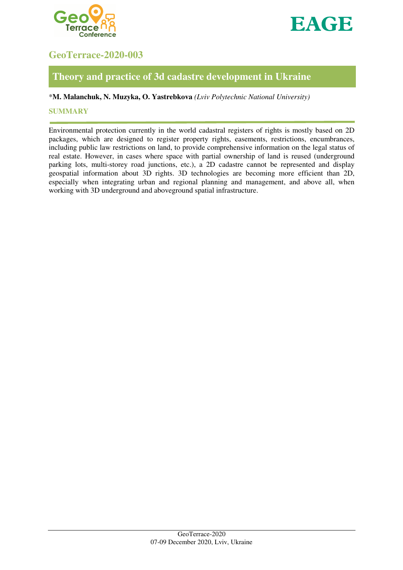



# **GeoTerrace-2020-003**

## **Theory and practice of 3d cadastre development in Ukraine**

### \***M. Malanchuk, N. Muzyka, O. Yastrebkova** *(Lviv Polytechnic National University)*

#### **SUMMARY**

Environmental protection currently in the world cadastral registers of rights is mostly based on 2D packages, which are designed to register property rights, easements, restrictions, encumbrances, including public law restrictions on land, to provide comprehensive information on the legal status of real estate. However, in cases where space with partial ownership of land is reused (underground parking lots, multi-storey road junctions, etc.), a 2D cadastre cannot be represented and display geospatial information about 3D rights. 3D technologies are becoming more efficient than 2D, especially when integrating urban and regional planning and management, and above all, when working with 3D underground and aboveground spatial infrastructure.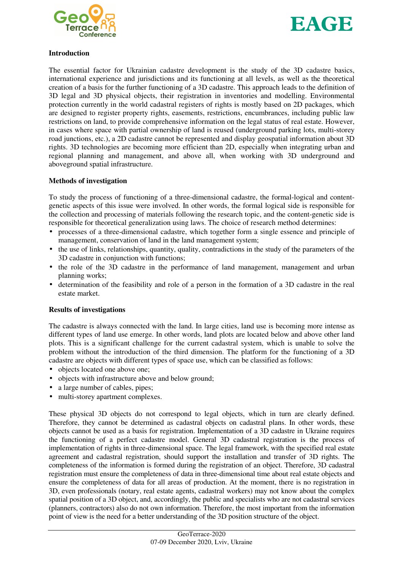



#### **Introduction**

The essential factor for Ukrainian cadastre development is the study of the 3D cadastre basics, international experience and jurisdictions and its functioning at all levels, as well as the theoretical creation of a basis for the further functioning of a 3D cadastre. This approach leads to the definition of 3D legal and 3D physical objects, their registration in inventories and modelling. Environmental protection currently in the world cadastral registers of rights is mostly based on 2D packages, which are designed to register property rights, easements, restrictions, encumbrances, including public law restrictions on land, to provide comprehensive information on the legal status of real estate. However, in cases where space with partial ownership of land is reused (underground parking lots, multi-storey road junctions, etc.), a 2D cadastre cannot be represented and display geospatial information about 3D rights. 3D technologies are becoming more efficient than 2D, especially when integrating urban and regional planning and management, and above all, when working with 3D underground and aboveground spatial infrastructure.

#### **Methods of investigation**

To study the process of functioning of a three-dimensional cadastre, the formal-logical and contentgenetic aspects of this issue were involved. In other words, the formal logical side is responsible for the collection and processing of materials following the research topic, and the content-genetic side is responsible for theoretical generalization using laws. The choice of research method determines:

- processes of a three-dimensional cadastre, which together form a single essence and principle of management, conservation of land in the land management system;
- the use of links, relationships, quantity, quality, contradictions in the study of the parameters of the 3D cadastre in conjunction with functions;
- the role of the 3D cadastre in the performance of land management, management and urban planning works;
- determination of the feasibility and role of a person in the formation of a 3D cadastre in the real estate market.

#### **Results of investigations**

The cadastre is always connected with the land. In large cities, land use is becoming more intense as different types of land use emerge. In other words, land plots are located below and above other land plots. This is a significant challenge for the current cadastral system, which is unable to solve the problem without the introduction of the third dimension. The platform for the functioning of a 3D cadastre are objects with different types of space use, which can be classified as follows:

- objects located one above one;
- objects with infrastructure above and below ground;
- a large number of cables, pipes;
- multi-storey apartment complexes.

These physical 3D objects do not correspond to legal objects, which in turn are clearly defined. Therefore, they cannot be determined as cadastral objects on cadastral plans. In other words, these objects cannot be used as a basis for registration. Implementation of a 3D cadastre in Ukraine requires the functioning of a perfect cadastre model. General 3D cadastral registration is the process of implementation of rights in three-dimensional space. The legal framework, with the specified real estate agreement and cadastral registration, should support the installation and transfer of 3D rights. The completeness of the information is formed during the registration of an object. Therefore, 3D cadastral registration must ensure the completeness of data in three-dimensional time about real estate objects and ensure the completeness of data for all areas of production. At the moment, there is no registration in 3D, even professionals (notary, real estate agents, cadastral workers) may not know about the complex spatial position of a 3D object, and, accordingly, the public and specialists who are not cadastral services (planners, contractors) also do not own information. Therefore, the most important from the information point of view is the need for a better understanding of the 3D position structure of the object.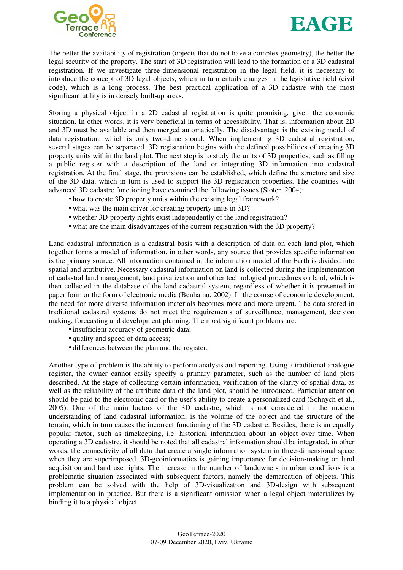



The better the availability of registration (objects that do not have a complex geometry), the better the legal security of the property. The start of 3D registration will lead to the formation of a 3D cadastral registration. If we investigate three-dimensional registration in the legal field, it is necessary to introduce the concept of 3D legal objects, which in turn entails changes in the legislative field (civil code), which is a long process. The best practical application of a 3D cadastre with the most significant utility is in densely built-up areas.

Storing a physical object in a 2D cadastral registration is quite promising, given the economic situation. In other words, it is very beneficial in terms of accessibility. That is, information about 2D and 3D must be available and then merged automatically. The disadvantage is the existing model of data registration, which is only two-dimensional. When implementing 3D cadastral registration, several stages can be separated. 3D registration begins with the defined possibilities of creating 3D property units within the land plot. The next step is to study the units of 3D properties, such as filling a public register with a description of the land or integrating 3D information into cadastral registration. At the final stage, the provisions can be established, which define the structure and size of the 3D data, which in turn is used to support the 3D registration properties. The countries with advanced 3D cadastre functioning have examined the following issues (Stoter, 2004):

- how to create 3D property units within the existing legal framework?
- what was the main driver for creating property units in 3D?
- whether 3D-property rights exist independently of the land registration?
- what are the main disadvantages of the current registration with the 3D property?

Land cadastral information is a cadastral basis with a description of data on each land plot, which together forms a model of information, in other words, any source that provides specific information is the primary source. All information contained in the information model of the Earth is divided into spatial and attributive. Necessary cadastral information on land is collected during the implementation of cadastral land management, land privatization and other technological procedures on land, which is then collected in the database of the land cadastral system, regardless of whether it is presented in paper form or the form of electronic media (Benhamu, 2002). In the course of economic development, the need for more diverse information materials becomes more and more urgent. The data stored in traditional cadastral systems do not meet the requirements of surveillance, management, decision making, forecasting and development planning. The most significant problems are:

- insufficient accuracy of geometric data;
- quality and speed of data access;
- differences between the plan and the register.

Another type of problem is the ability to perform analysis and reporting. Using a traditional analogue register, the owner cannot easily specify a primary parameter, such as the number of land plots described. At the stage of collecting certain information, verification of the clarity of spatial data, as well as the reliability of the attribute data of the land plot, should be introduced. Particular attention should be paid to the electronic card or the user's ability to create a personalized card (Sohnych et al., 2005). One of the main factors of the 3D cadastre, which is not considered in the modern understanding of land cadastral information, is the volume of the object and the structure of the terrain, which in turn causes the incorrect functioning of the 3D cadastre. Besides, there is an equally popular factor, such as timekeeping, i.e. historical information about an object over time. When operating a 3D cadastre, it should be noted that all cadastral information should be integrated, in other words, the connectivity of all data that create a single information system in three-dimensional space when they are superimposed. 3D-geoinformatics is gaining importance for decision-making on land acquisition and land use rights. The increase in the number of landowners in urban conditions is a problematic situation associated with subsequent factors, namely the demarcation of objects. This problem can be solved with the help of 3D-visualization and 3D-design with subsequent implementation in practice. But there is a significant omission when a legal object materializes by binding it to a physical object.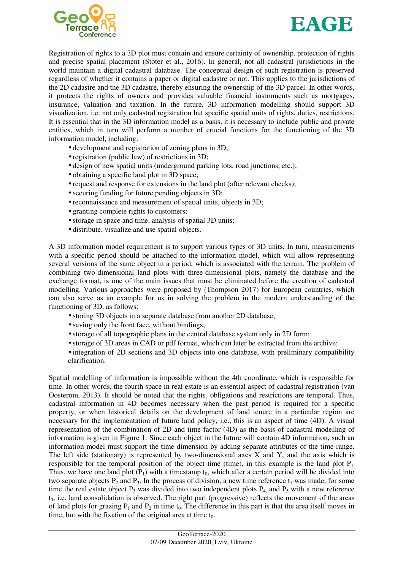



Registration of rights to a 3D plot must contain and ensure certainty of ownership, protection of rights and precise spatial placement (Stoter et al., 2016). In general, not all cadastral jurisdictions in the world maintain a digital cadastral database. The conceptual design of such registration is preserved regardless of whether it contains a paper or digital cadastre or not. This applies to the jurisdictions of the 2D cadastre and the 3D cadastre, thereby ensuring the ownership of the 3D parcel. In other words, it protects the rights of owners and provides valuable financial instruments such as mortgages, insurance, valuation and taxation. In the future, 3D information modelling should support 3D visualization, i.e. not only cadastral registration but specific spatial units of rights, duties, restrictions. It is essential that in the 3D information model as a basis, it is necessary to include public and private entities, which in turn will perform a number of crucial functions for the functioning of the 3D information model, including:

- development and registration of zoning plans in 3D;
- registration (public law) of restrictions in 3D;
- design of new spatial units (underground parking lots, road junctions, etc.);
- obtaining a specific land plot in 3D space:
- request and response for extensions in the land plot (after relevant checks);
- securing funding for future pending objects in 3D;
- reconnaissance and measurement of spatial units, objects in 3D;
- granting complete rights to customers;
- storage in space and time, analysis of spatial 3D units;
- distribute, visualize and use spatial objects.

A 3D information model requirement is to support various types of 3D units. In turn, measurements with a specific period should be attached to the information model, which will allow representing several versions of the same object in a period, which is associated with the terrain. The problem of combining two-dimensional land plots with three-dimensional plots, namely the database and the exchange format, is one of the main issues that must be eliminated before the creation of cadastral modelling. Various approaches were proposed by (Thompson 2017) for European countries, which can also serve as an example for us in solving the problem in the modern understanding of the functioning of 3D, as follows:

- storing 3D objects in a separate database from another 2D database;
- saving only the front face, without bindings;
- storage of all topographic plans in the central database system only in 2D form;
- storage of 3D areas in CAD or pdf format, which can later be extracted from the archive;
- integration of 2D sections and 3D objects into one database, with preliminary compatibility clarification.

Spatial modelling of information is impossible without the 4th coordinate, which is responsible for time. In other words, the fourth space in real estate is an essential aspect of cadastral registration (van Oosterom, 2013). It should be noted that the rights, obligations and restrictions are temporal. Thus, cadastral information in 4D becomes necessary when the past period is required for a specific property, or when historical details on the development of land tenure in a particular region are necessary for the implementation of future land policy, i.e., this is an aspect of time (4D). A visual representation of the combination of 2D and time factor (4D) as the basis of cadastral modelling of information is given in Figure 1. Since each object in the future will contain 4D information, such an information model must support the time dimension by adding separate attributes of the time range. The left side (stationary) is represented by two-dimensional axes  $X$  and  $Y$ , and the axis which is responsible for the temporal position of the object time (time), in this example is the land plot  $P_1$ . Thus, we have one land plot  $(P_1)$  with a timestamp  $t_0$ , which after a certain period will be divided into two separate objects  $P_2$  and  $P_3$ . In the process of division, a new time reference  $t_1$  was made, for some time the real estate object  $P_3$  was divided into two independent plots  $P_4$  and  $P_5$  with a new reference t3, i.e. land consolidation is observed. The right part (progressive) reflects the movement of the areas of land plots for grazing  $P_1$  and  $P_2$  in time  $t_0$ . The difference in this part is that the area itself moves in time, but with the fixation of the original area at time  $t_0$ .